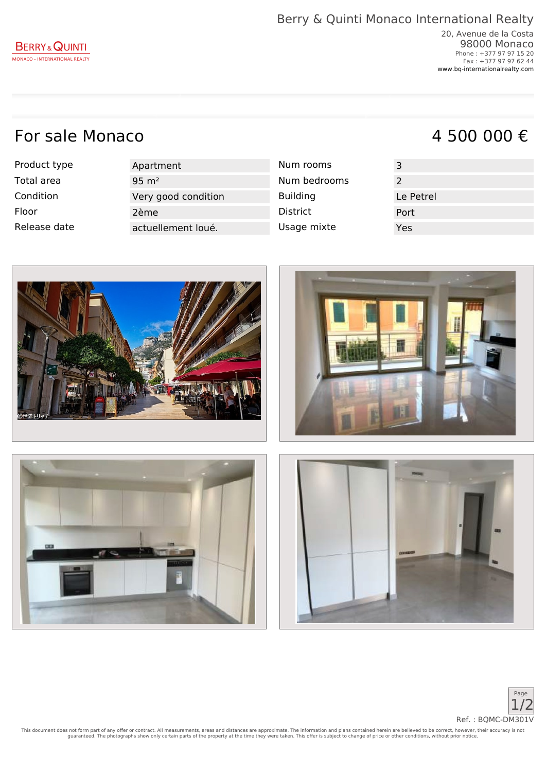## For sale Monaco  $4\,500\,000\,\epsilon$

Product type Apartment

Total area  $12$  95 m<sup>2</sup> and  $2$  95 m<sup>2</sup> Condition Very good condition Floor 2ème District Port Release date actuellement loué.

| Num rooms       |
|-----------------|
| Num bedrooms    |
| <b>Building</b> |
| <b>District</b> |
| Usage mixte     |
|                 |





This document does not form part of any offer or contract. All measurements, areas and distances are approximate. The information and plans contained herein are believed to be correct, however, their accuracy is not<br>guaran